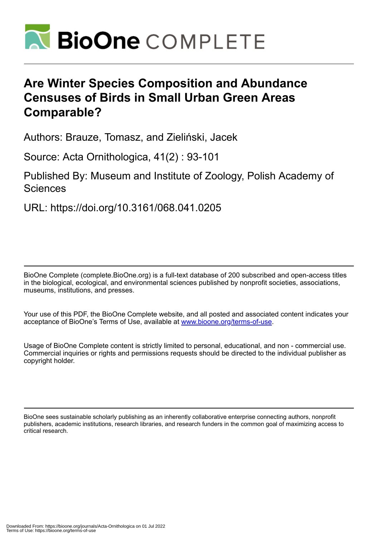

# **Are Winter Species Composition and Abundance Censuses of Birds in Small Urban Green Areas Comparable?**

Authors: Brauze, Tomasz, and Zieliński, Jacek

Source: Acta Ornithologica, 41(2) : 93-101

Published By: Museum and Institute of Zoology, Polish Academy of **Sciences** 

URL: https://doi.org/10.3161/068.041.0205

BioOne Complete (complete.BioOne.org) is a full-text database of 200 subscribed and open-access titles in the biological, ecological, and environmental sciences published by nonprofit societies, associations, museums, institutions, and presses.

Your use of this PDF, the BioOne Complete website, and all posted and associated content indicates your acceptance of BioOne's Terms of Use, available at www.bioone.org/terms-of-use.

Usage of BioOne Complete content is strictly limited to personal, educational, and non - commercial use. Commercial inquiries or rights and permissions requests should be directed to the individual publisher as copyright holder.

BioOne sees sustainable scholarly publishing as an inherently collaborative enterprise connecting authors, nonprofit publishers, academic institutions, research libraries, and research funders in the common goal of maximizing access to critical research.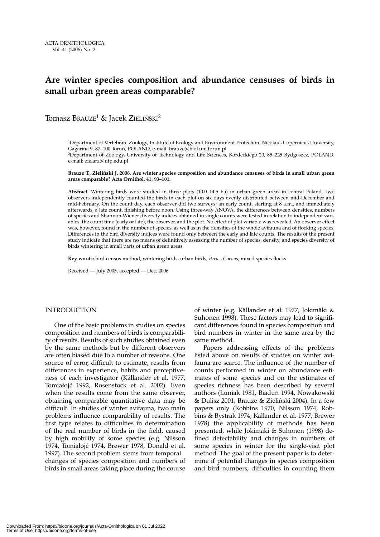## **Are winter species composition and abundance censuses of birds in small urban green areas comparable?**

Tomasz BRAUZE<sup>1</sup> & Jacek ZIELIŃSKI<sup>2</sup>

1Department of Vertebrate Zoology, Institute of Ecology and Environment Protection, Nicolaus Copernicus University, Gagarina 9, 87–100 Toruń, POLAND, e-mail: brauze@biol.uni.torun.pl

2Department of Zoology, University of Technology and Life Sciences, Kordeckiego 20, 85–225 Bydgoszcz, POLAND, e-mail: zielarz@utp.edu.pl

**Brauze T., Zieliński J. 2006. Are winter species composition and abundance censuses of birds in small urban green areas comparable? Acta Ornithol. 41: 93–101.**

**Abstract.** Wintering birds were studied in three plots (10.0–14.5 ha) in urban green areas in central Poland. Two observers independently counted the birds in each plot on six days evenly distributed between mid-December and mid-February. On the count day, each observer did two surveys: an early count, starting at 8 a.m., and immediately afterwards, a late count, finishing before noon. Using three-way ANOVA, the differences between densities, numbers of species and Shannon-Wiener diversity indices obtained in single counts were tested in relation to independent variables: the count time (early or late), the observer, and the plot. No effect of plot variable was revealed. An observer effect was, however, found in the number of species, as well as in the densities of the whole avifauna and of flocking species. Differences in the bird diversity indices were found only between the early and late counts. The results of the present study indicate that there are no means of definitively assessing the number of species, density, and species diversity of birds wintering in small parts of urban green areas.

**Key words:** bird census method, wintering birds, urban birds, *Parus*, *Corvus*, mixed species flocks

Received — July 2005, accepted — Dec. 2006

## INTRODUCTION

One of the basic problems in studies on species composition and numbers of birds is comparability of results. Results of such studies obtained even by the same methods but by different observers are often biased due to a number of reasons. One source of error, difficult to estimate, results from differences in experience, habits and perceptiveness of each investigator (Källander et al. 1977, Tomiałojć 1992, Rosenstock et al. 2002). Even when the results come from the same observer, obtaining comparable quantitative data may be difficult. In studies of winter avifauna, two main problems influence comparability of results. The first type relates to difficulties in determination of the real number of birds in the field, caused by high mobility of some species (e.g. Nilsson 1974, Tomiałojć 1974, Brewer 1978, Donald et al. 1997). The second problem stems from temporal changes of species composition and numbers of birds in small areas taking place during the course of winter (e.g. Källander et al. 1977, Jokimäki & Suhonen 1998). These factors may lead to significant differences found in species composition and bird numbers in winter in the same area by the same method.

Papers addressing effects of the problems listed above on results of studies on winter avifauna are scarce. The influence of the number of counts performed in winter on abundance estimates of some species and on the estimates of species richness has been described by several authors (Luniak 1981, Biaduń 1994, Nowakowski & Dulisz 2001, Brauze & Zieliński 2004). In a few papers only (Robbins 1970, Nilsson 1974, Robbins & Bystrak 1974, Källander et al. 1977, Brewer 1978) the applicability of methods has been presented, while Jokimäki & Suhonen (1998) defined detectability and changes in numbers of some species in winter for the single-visit plot method. The goal of the present paper is to determine if potential changes in species composition and bird numbers, difficulties in counting them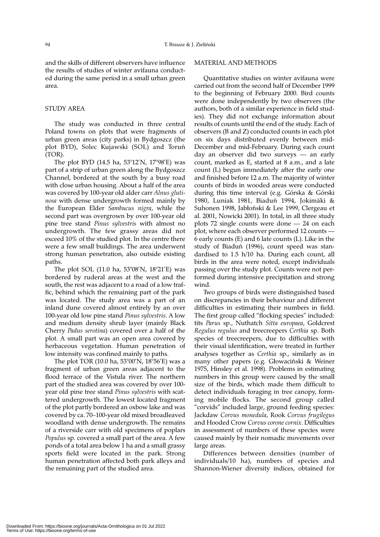and the skills of different observers have influence the results of studies of winter avifauna conducted during the same period in a small urban green area.

## STUDY AREA

The study was conducted in three central Poland towns on plots that were fragments of urban green areas (city parks) in Bydgoszcz (the plot BYD), Solec Kujawski (SOL) and Toruń (TOR).

The plot BYD (14.5 ha, 53°12'N, 17°98'E) was part of a strip of urban green along the Bydgoszcz Channel, bordered at the south by a busy road with close urban housing. About a half of the area was covered by 100-year old alder carr *Alnus glutinosa* with dense undergrowth formed mainly by the European Elder *Sambucus nigra*, while the second part was overgrown by over 100-year old pine tree stand *Pinus sylvestris* with almost no undergrowth. The few grassy areas did not exceed 10% of the studied plot. In the centre there were a few small buildings. The area underwent strong human penetration, also outside existing paths.

The plot SOL (11.0 ha, 53°08'N, 18°21'E) was bordered by ruderal areas at the west and the south, the rest was adjacent to a road of a low traffic, behind which the remaining part of the park was located. The study area was a part of an inland dune covered almost entirely by an over 100-year old low pine stand *Pinus sylvestris*. A low and medium density shrub layer (mainly Black Cherry *Padus serotina*) covered over a half of the plot. A small part was an open area covered by herbaceous vegetation. Human penetration of low intensity was confined mainly to paths.

The plot TOR (10.0 ha, 53°00'N, 18°56'E) was a fragment of urban green areas adjacent to the flood terrace of the Vistula river. The northern part of the studied area was covered by over 100 year old pine tree stand *Pinus sylvestris* with scattered undergrowth. The lowest located fragment of the plot partly bordered an oxbow lake and was covered by ca. 70–100-year old mixed broadleaved woodland with dense undergrowth. The remains of a riverside carr with old specimens of poplars *Populus* sp. covered a small part of the area. A few ponds of a total area below 1 ha and a small grassy sports field were located in the park. Strong human penetration affected both park alleys and the remaining part of the studied area.

### MATERIAL AND METHODS

Quantitative studies on winter avifauna were carried out from the second half of December 1999 to the beginning of February 2000. Bird counts were done independently by two observers (the authors, both of a similar experience in field studies). They did not exchange information about results of counts until the end of the study. Each of observers (B and Z) conducted counts in each plot on six days distributed evenly between mid-December and mid-February. During each count day an observer did two surveys — an early count, marked as E, started at 8 a.m., and a late count (L) begun immediately after the early one and finished before 12 a.m. The majority of winter counts of birds in wooded areas were conducted during this time interval (e.g. Górska & Górski 1980, Luniak 1981, Biaduń 1994, Jokimäki & Suhonen 1998, Jabłoński & Lee 1999, Clergeau et al. 2001, Nowicki 2001). In total, in all three study plots 72 single counts were done — 24 on each plot, where each observer performed 12 counts — 6 early counts (E) and 6 late counts (L). Like in the study of Biaduń (1996), count speed was standardised to 1.5 h/10 ha. During each count, all birds in the area were noted, except individuals passing over the study plot. Counts were not performed during intensive precipitation and strong wind.

Two groups of birds were distinguished based on discrepancies in their behaviour and different difficulties in estimating their numbers in field. The first group called "flocking species" included: tits *Parus* sp., Nuthatch *Sitta europaea*, Goldcrest *Regulus regulus* and treecreepers *Certhia* sp. Both species of treecreepers, due to difficulties with their visual identification, were treated in further analyses together as *Certhia* sp., similarly as in many other papers (e.g. Głowaciński & Weiner 1975, Hinsley et al. 1998). Problems in estimating numbers in this group were caused by the small size of the birds, which made them difficult to detect individuals foraging in tree canopy, forming mobile flocks. The second group called "corvids" included large, ground feeding species: Jackdaw *Corvus monedula*, Rook *Corvus frugilegus* and Hooded Crow *Corvus corone cornix*. Difficulties in assessment of numbers of these species were caused mainly by their nomadic movements over large areas.

Differences between densities (number of individuals/10 ha), numbers of species and Shannon-Wiener diversity indices, obtained for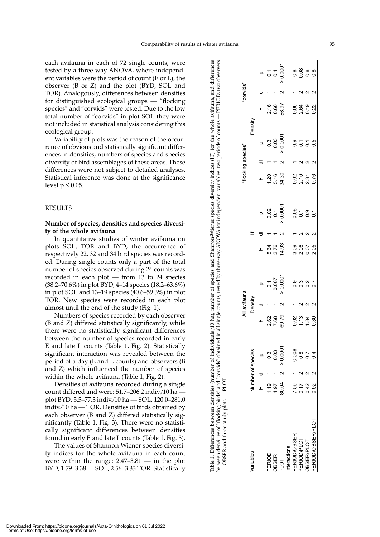Terms of Use: https://bioone.org/terms-of-use

lable 1. Differences between densities (number of individuals /10 ha), number of species and Shamon-Wiener species diversity indices (H') for the whole avifauna, and differences between densities of "flocking birds" and "corvids" obtained in all single counts, tested by three-way ANOVA for independent variables: two periods of counts — PERIOD, two observers between densities of "flocking birds" and "corvids" obtained in all single counts, tested by three-way ANOVA for independent variables: two periods of counts -- PERIOD, two ob Table 1. Differences between densities (number of individuals /10 ha), number of species and Shannon-Wiener species diversity i OBSER and three study plots - PLOT. — OBSER and three study plots — PLOT.

 $\overline{\phantom{a}}$ 

ndices (H') for the whole avifauna, and differences

| each avifauna in each of 72 single counts, were       |
|-------------------------------------------------------|
| tested by a three-way ANOVA, where independ-          |
| ent variables were the period of count (E or L), the  |
| observer (B or Z) and the plot (BYD, SOL and          |
| TOR). Analogously, differences between densities      |
| for distinguished ecological groups — "flocking       |
| species" and "corvids" were tested. Due to the low    |
| total number of "corvids" in plot SOL they were       |
| not included in statistical analysis considering this |
| ecological group.                                     |
|                                                       |

Variability of plots was the reason of the occurrence of obvious and statistically significant differences in densities, numbers of species and species diversity of bird assemblages of these areas. These differences were not subject to detailed analyses. Statistical inference was done at the significance level  $p \leq 0.05$ .

## RESULTS

## **Number of species, densities and species diversity of the whole avifauna**

In quantitative studies of winter avifauna on plots SOL, TOR and BYD, the occurrence of respectively 22, 32 and 34 bird species was recorded. During single counts only a part of the total number of species observed during 24 counts was recorded in each plot — from 13 to 24 species (38.2–70.6%) in plot BYD, 4–14 species (18.2–63.6%) in plot SOL and 13–19 species (40.6–59.3%) in plot TOR. New species were recorded in each plot almost until the end of the study (Fig. 1).

Numbers of species recorded by each observer (B and Z) differed statistically significantly, while there were no statistically significant differences between the number of species recorded in early E and late L counts (Table 1, Fig. 2). Statistically significant interaction was revealed between the period of a day (E and L counts) and observers (B and Z) which influenced the number of species within the whole avifauna (Table 1, Fig. 2).

Densities of avifauna recorded during a single count differed and were: 51.7–206.2 indiv./10 ha plot BYD, 5.5–77.3 indiv./10 ha — SOL, 120.0–281.0 indiv./10 ha — TOR. Densities of birds obtained by each observer (B and Z) differed statistically significantly (Table 1, Fig. 3). There were no statistically significant differences between densities found in early E and late L counts (Table 1, Fig. 3).

The values of Shannon-Wiener species diversity indices for the whole avifauna in each count were within the range: 2.47–3.81 — in the plot BYD, 1.79–3.38 — SOL, 2.56–3.33 TOR. Statistically

| S |  | 1,0001<br>$\sigma$ $\frac{9}{2}$ $\sigma$<br>Ξ |  |
|---|--|------------------------------------------------|--|

|                    |                              |              |                   |                              | All avifauna  |          |                       |   |                                          | flocking species"                    |               |                              |                                      | "corvids" |                                  |
|--------------------|------------------------------|--------------|-------------------|------------------------------|---------------|----------|-----------------------|---|------------------------------------------|--------------------------------------|---------------|------------------------------|--------------------------------------|-----------|----------------------------------|
| <b>lariables</b>   |                              |              | Number of species |                              | Density       |          |                       | Ì |                                          |                                      |               | Density                      |                                      |           |                                  |
|                    |                              | <del>ئ</del> |                   | щ                            | <del>ئا</del> | $\alpha$ | $\overline{a}$        |   | $\Omega$                                 | LL.                                  | <del>ئا</del> | $\alpha$                     | щ.                                   | 늉         |                                  |
| ERIOD              | 1.19                         |              | $\frac{3}{2}$     |                              |               |          |                       |   | $\frac{1}{0.02}$<br>$\frac{0.7}{0.0001}$ |                                      |               |                              | $\frac{16}{200}$                     |           | $\frac{P}{0.1}$<br>0.4<br>0.0001 |
| <b>JBSER</b>       |                              |              | 0.03              |                              |               |          |                       |   |                                          |                                      |               |                              |                                      |           |                                  |
| LOT                | 4.97<br>SO.04                |              | $-0.0001$         | 2.62<br>7.68<br>2.9.79       |               |          | 5.64<br>2.76<br>14.93 |   |                                          | $1.20$<br>5.16<br>34.30              |               | $0.3$<br>$0.03$<br>$-0.0001$ |                                      |           |                                  |
| teractions         |                              |              |                   |                              |               |          |                       |   |                                          |                                      |               |                              |                                      |           |                                  |
| <b>ERIOD/OBSER</b> |                              |              | 0.008             |                              |               |          |                       |   |                                          |                                      |               |                              |                                      |           |                                  |
| <b>ERIOD/PLOT</b>  | $7.58$<br>$7.748$<br>$0.000$ |              | $\frac{8}{1}$     | $0.788$<br>$-7.88$<br>$-7.8$ |               |          |                       |   | $0.08$<br>$0.7$<br>$0.07$                | 0<br>0<br>0<br>0<br>0<br>0<br>0<br>0 |               | $0.7 - 0.0$                  | 8<br>8<br>0<br>0<br>0<br>0<br>0<br>0 |           | 8<br>0 8 8 8<br>0 0 0 8          |
| <b>JBSER/PLOT</b>  |                              |              | $\overline{0.7}$  |                              |               |          |                       |   |                                          |                                      |               |                              |                                      |           |                                  |
| ERIOD/OBSER/PLOT   |                              |              | 0.4               |                              | ∾             |          |                       |   |                                          |                                      |               |                              |                                      | Ν         |                                  |
|                    |                              |              |                   |                              |               |          |                       |   |                                          |                                      |               |                              |                                      |           |                                  |

 $\overline{\phantom{a}}$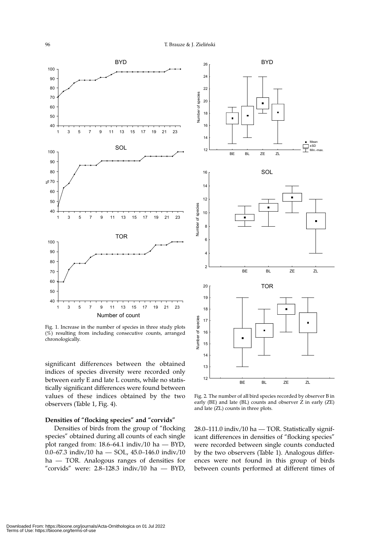

Fig. 1. Increase in the number of species in three study plots  $(\%)$  resulting from including consecutive counts, arranged chronologically.

significant differences between the obtained indices of species diversity were recorded only between early E and late L counts, while no statistically significant differences were found between values of these indices obtained by the two observers (Table 1, Fig. 4).

#### **Densities of "flocking species" and "corvids"**

Densities of birds from the group of "flocking species" obtained during all counts of each single plot ranged from: 18.6–64.1 indiv./10 ha — BYD, 0.0–67.3 indiv./10 ha — SOL, 45.0–146.0 indiv./10 ha — TOR. Analogous ranges of densities for "corvids" were:  $2.8-128.3$  indiv./10 ha - BYD,



Fig. 2. The number of all bird species recorded by observer B in early (BE) and late (BL) counts and observer Z in early (ZE) and late (ZL) counts in three plots.

28.0–111.0 indiv./10 ha — TOR. Statistically significant differences in densities of "flocking species" were recorded between single counts conducted by the two observers (Table 1). Analogous differences were not found in this group of birds between counts performed at different times of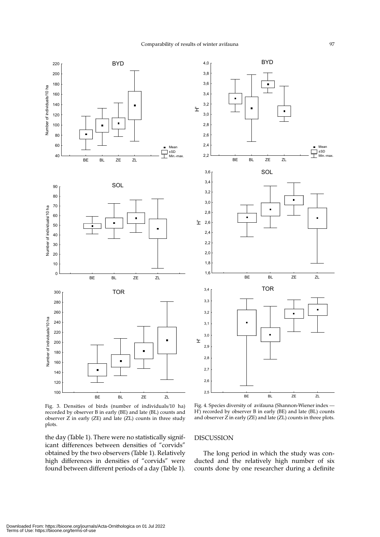

 $\blacksquare$  Mean ±SD Min.-max. BE BL ZE ZL SOL Ĭ. BE BL ZE ZL 1,6 TOR BE BL ZE ZL Fig. 4. Species diversity of avifauna (Shannon-Wiener index

BYD

Fig. 3. Densities of birds (number of individuals/10 ha) recorded by observer B in early (BE) and late (BL) counts and observer Z in early (ZE) and late (ZL) counts in three study plots.

the day (Table 1). There were no statistically significant differences between densities of "corvids" obtained by the two observers (Table 1). Relatively high differences in densities of "corvids" were found between different periods of a day (Table 1).

## DISCUSSION

The long period in which the study was conducted and the relatively high number of six counts done by one researcher during a definite

H') recorded by observer B in early (BE) and late (BL) counts and observer Z in early (ZE) and late (ZL) counts in three plots.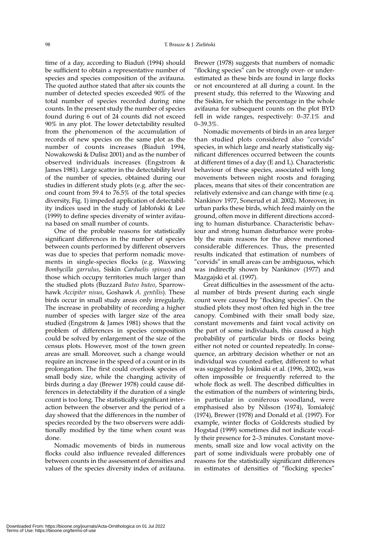time of a day, according to Biaduń (1994) should be sufficient to obtain a representative number of species and species composition of the avifauna. The quoted author stated that after six counts the number of detected species exceeded 90% of the total number of species recorded during nine counts. In the present study the number of species found during 6 out of 24 counts did not exceed 90% in any plot. The lower detectability resulted from the phenomenon of the accumulation of records of new species on the same plot as the number of counts increases (Biaduń 1994, Nowakowski & Dulisz 2001) and as the number of observed individuals increases (Engstrom & James 1981). Large scatter in the detectability level of the number of species, obtained during our studies in different study plots (e.g. after the second count from 59.4 to 76.5% of the total species diversity, Fig. 1) impeded application of detectability indices used in the study of Jabłoński & Lee (1999) to define species diversity of winter avifauna based on small number of counts.

One of the probable reasons for statistically significant differences in the number of species between counts performed by different observers was due to species that perform nomadic movements in single-species flocks (e.g. Waxwing *Bombycilla garrulus*, Siskin *Carduelis spinus*) and those which occupy territories much larger than the studied plots (Buzzard *Buteo buteo*, Sparrowhawk *Accipiter nisus*, Goshawk *A. gentilis*). These birds occur in small study areas only irregularly. The increase in probability of recording a higher number of species with larger size of the area studied (Engstrom & James 1981) shows that the problem of differences in species composition could be solved by enlargement of the size of the census plots. However, most of the town green areas are small. Moreover, such a change would require an increase in the speed of a count or in its prolongation. The first could overlook species of small body size, while the changing activity of birds during a day (Brewer 1978) could cause differences in detectability if the duration of a single count is too long. The statistically significant interaction between the observer and the period of a day showed that the differences in the number of species recorded by the two observers were additionally modified by the time when count was done.

Nomadic movements of birds in numerous flocks could also influence revealed differences between counts in the assessment of densities and values of the species diversity index of avifauna. Brewer (1978) suggests that numbers of nomadic "flocking species" can be strongly over- or underestimated as these birds are found in large flocks or not encountered at all during a count. In the present study, this referred to the Waxwing and the Siskin, for which the percentage in the whole avifauna for subsequent counts on the plot BYD fell in wide ranges, respectively: 0–37.1% and 0–39.3%.

Nomadic movements of birds in an area larger than studied plots considered also "corvids" species, in which large and nearly statistically significant differences occurred between the counts at different times of a day (E and L). Characteristic behaviour of these species, associated with long movements between night roosts and foraging places, means that sites of their concentration are relatively extensive and can change with time (e.q. Nankinov 1977, Sonerud et al. 2002). Moreover, in urban parks these birds, which feed mainly on the ground, often move in different directions according to human disturbance. Characteristic behaviour and strong human disturbance were probably the main reasons for the above mentioned considerable differences. Thus, the presented results indicated that estimation of numbers of "corvids" in small areas can be ambiguous, which was indirectly shown by Nankinov (1977) and Mazgajski et al. (1997).

Great difficulties in the assessment of the actual number of birds present during each single count were caused by "flocking species". On the studied plots they most often fed high in the tree canopy. Combined with their small body size, constant movements and faint vocal activity on the part of some individuals, this caused a high probability of particular birds or flocks being either not noted or counted repeatedly. In consequence, an arbitrary decision whether or not an individual was counted earlier, different to what was suggested by Jokimäki et al. (1996, 2002), was often impossible or frequently referred to the whole flock as well. The described difficulties in the estimation of the numbers of wintering birds, in particular in coniferous woodland, were emphasised also by Nilsson (1974), Tomiałojć (1974), Brewer (1978) and Donald et al. (1997). For example, winter flocks of Goldcrests studied by Hogstad (1999) sometimes did not indicate vocally their presence for 2–3 minutes. Constant movements, small size and low vocal activity on the part of some individuals were probably one of reasons for the statistically significant differences in estimates of densities of "flocking species"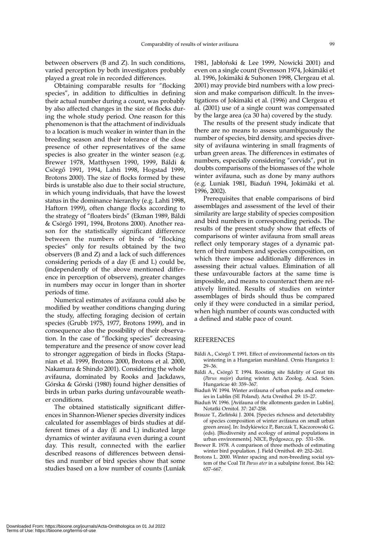between observers (B and Z). In such conditions, varied perception by both investigators probably played a great role in recorded differences.

Obtaining comparable results for "flocking species", in addition to difficulties in defining their actual number during a count, was probably by also affected changes in the size of flocks during the whole study period. One reason for this phenomenon is that the attachment of individuals to a location is much weaker in winter than in the breeding season and their tolerance of the close presence of other representatives of the same species is also greater in the winter season (e.g. Brewer 1978, Matthysen 1990, 1999, Báldi & Csörgő 1991, 1994, Lahti 1998, Hogstad 1999, Brotons 2000). The size of flocks formed by these birds is unstable also due to their social structure, in which young individuals, that have the lowest status in the dominance hierarchy (e.g. Lahti 1998, Haftorn 1999), often change flocks according to the strategy of "floaters birds" (Ekman 1989, Báldi & Csörgő 1991, 1994, Brotons 2000). Another reason for the statistically significant difference between the numbers of birds of "flocking species" only for results obtained by the two observers (B and Z) and a lack of such differences considering periods of a day (E and L) could be, (independently of the above mentioned difference in perception of observers), greater changes in numbers may occur in longer than in shorter periods of time.

Numerical estimates of avifauna could also be modified by weather conditions changing during the study, affecting foraging decision of certain species (Grubb 1975, 1977, Brotons 1999), and in consequence also the possibility of their observation. In the case of "flocking species" decreasing temperature and the presence of snow cover lead to stronger aggregation of birds in flocks (Stapanian et al. 1999, Brotons 2000, Brotons et al. 2000, Nakamura & Shindo 2001). Considering the whole avifauna, dominated by Rooks and Jackdaws, Górska & Górski (1980) found higher densities of birds in urban parks during unfavourable weather conditions.

The obtained statistically significant differences in Shannon-Wiener species diversity indices calculated for assemblages of birds studies at different times of a day (E and L) indicated large dynamics of winter avifauna even during a count day. This result, connected with the earlier described reasons of differences between densities and number of bird species show that some studies based on a low number of counts (Luniak 1981, Jabłoński & Lee 1999, Nowicki 2001) and even on a single count (Svensson 1974, Jokimäki et al. 1996, Jokimäki & Suhonen 1998, Clergeau et al. 2001) may provide bird numbers with a low precision and make comparison difficult. In the investigations of Jokimäki et al. (1996) and Clergeau et al. (2001) use of a single count was compensated by the large area (ca 30 ha) covered by the study.

The results of the present study indicate that there are no means to assess unambiguously the number of species, bird density, and species diversity of avifauna wintering in small fragments of urban green areas. The differences in estimates of numbers, especially considering "corvids", put in doubts comparisons of the biomasses of the whole winter avifauna, such as done by many authors (e.g. Luniak 1981, Biaduń 1994, Jokimäki et al. 1996, 2002).

Prerequisites that enable comparisons of bird assemblages and assessment of the level of their similarity are large stability of species composition and bird numbers in corresponding periods. The results of the present study show that effects of comparisons of winter avifauna from small areas reflect only temporary stages of a dynamic pattern of bird numbers and species composition, on which there impose additionally differences in assessing their actual values. Elimination of all these unfavourable factors at the same time is impossible, and means to counteract them are relatively limited. Results of studies on winter assemblages of birds should thus be compared only if they were conducted in a similar period, when high number of counts was conducted with a defined and stable pace of count.

#### REFERENCES

- Báldi A., Csörgő T. 1991. Effect of environmental factors on tits wintering in a Hungarian marshland. Ornis Hungarica 1: 29–36.
- Báldi A., Csörgő T. 1994. Roosting site fidelity of Great tits (*Parus major*) during winter. Acta Zoolog. Acad. Scien. Hungaricae 40: 359–367.
- Biaduń W. 1994. Winter avifauna of urban parks and cemeteries in Lublin (SE Poland). Acta Ornithol. 29: 15–27.
- Biaduń W. 1996. [Avifauna of the allotments garden in Lublin]. Notatki Ornitol. 37: 247-258.
- Brauze T., Zieliński J. 2004. [Species richness and detectability of species composition of winter avifauna on small urban green areas]. In: Indykiewicz P., Barczak T., Kaczorowski G. (eds). [Biodiversity and ecology of animal populations in urban environments]. NICE, Bydgoszcz, pp. 531–536.
- Brewer R. 1978. A comparison of three methods of estimating winter bird population. J. Field Ornithol. 49: 252–261.
- Brotons L. 2000. Winter spacing and non-breeding social system of the Coal Tit *Parus ater* in a subalpine forest. Ibis 142: 657–667.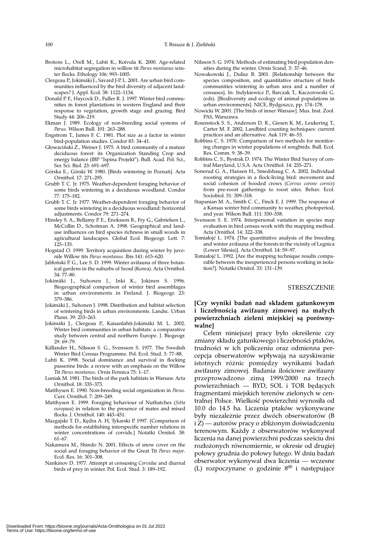- Brotons L., Orell M., Lahti K., Koivula K. 2000. Age-related microhabitat segregation in willow tit *Parus montanus* winter flocks. Ethology 106: 993–1005.
- Clergeau P., Jokimäki J., Savard J-P. L. 2001. Are urban bird communities influenced by the bird diversity of adjacent landscapes? J. Appl. Ecol. 38: 1122–1134.
- Donald P. F., Haycock D., Fuller R. J. 1997. Winter bird communities in forest plantations in western England and their response to vegetation, growth stage and grazing. Bird Study 44: 206–219.
- Ekman J. 1989. Ecology of non-breeding social systems of *Parus*. Wilson Bull. 101: 263–288.
- Engstrom T., James F. C. 1981. Plot size as a factor in winter bird-population studies. Condor 83: 34–41.
- Głowaciński Z., Weiner J. 1975. A bird community of a mature deciduous forest: its Organization Standing Crop and energy balance (IBP "Ispina Projekt"). Bull. Acad. Pol. Sci., Ser. Sci. Biol. 23: 691–697.
- Górska E., Górski W. 1980. [Birds wintering in Poznań]. Acta Ornithol. 17: 271–295.
- Grubb T. C. Jr. 1975. Weather-dependent foraging behavior of some birds wintering in a deciduous woodland. Condor 77: 175–182.
- Grubb T. C. Jr. 1977. Weather-dependent foraging behavior of some birds wintering in a deciduous woodland: horizontal adjustments. Condor 79: 271–274.
- Hinsley S. A., Bellamy P. E., Enoksson B., Fry G., Gabrielsen L., McCollin D., Schotman A. 1998. Geographical and landuse influences on bird species richness in small woods in agricultural landscapes. Global Ecol. Biogeogr. Lett. 7: 125–135.
- Hogstad O. 1999: Territory acquisition during winter by juvenile Willow tits *Parus montanus*. Ibis 141: 615–620.
- Jabłoński P. G., Lee S. D. 1999. Winter avifauna of three botanical gardens in the suburbs of Seoul (Korea). Acta Ornithol. 34: 77–80.
- Jokimäki J., Suhonen J., Inki K., Jokinen S. 1996. Biogeographical comparison of winter bird assemblages in urban environments in Finland. J. Biogeogr. 23: 379–386.
- Jokimäki J., Suhonen J. 1998. Distribution and habitat selection of wintering birds in urban environments. Landsc. Urban Plann. 39: 253–263.
- Jokimäki J., Clergeau P., Kaisanlahti-Jokimäki M. L. 2002. Winter bird communities in urban habitats: a comparative study between central and northern Europe. J. Biogeogr. 29: 69–79.
- Källander H., Nilsson S. G., Svensson S. 1977. The Swedish Winter Bird Census Programme. Pol. Ecol. Stud. 3: 77–88.
- Lahti K. 1998. Social dominance and survival in flocking passerine birds: a review with an emphasis on the Willow Tit *Parus montanus*. Ornis Fennica 75: 1–17.
- Luniak M. 1981. The birds of the park habitats in Warsaw. Acta Ornithol. 18: 335–373.
- Matthysen E. 1990. Non-breeding social organization in *Parus*. Curr. Ornithol. 7: 209–249.
- Matthysen E. 1999. Foraging behaviour of Nuthatches (*Sitta europaea*) in relation to the presence of mates and mixed flocks. J. Ornithol. 140: 443–451.
- Mazgajski T. D., Kędra A. H, Tykarski P. 1997. [Comparison of methods for establishing interspecific number relations in winter concentrations of corvids.] Notatki Ornitol. 38: 61–67.
- Nakamura M., Shindo N. 2001. Effects of snow cover on the social and foraging behavior of the Great Tit *Parus major*. Ecol. Res. 16: 301–308.
- Nankinov D. 1977. Attempt at censusing *Corvidae* and diurnal birds of prey in winter. Pol. Ecol. Stud. 3: 189–192.
- Nilsson S. G. 1974. Methods of estimating bird population densities during the winter. Ornis Scand. 5: 37–46.
- Nowakowski J., Dulisz B. 2001. [Relationship between the species composition, and quantitative structure of birds communities wintering in urban area and a number of censuses]. In: Indykiewicz P., Barczak T., Kaczorowski G. (eds). [Biodiversity and ecology of animal populations in urban environments]. NICE, Bydgoszcz, pp. 174–178.
- Nowicki W. 2001. [The birds of inner Warsaw]. Mus. Inst. Zool. PAS, Warszawa.
- Rosenstock S. S., Anderson D. R., Giesen K. M., Leukering T., Carter M. F. 2002. Landbird counting techniques: current practices and an alternative. Auk 119: 46–53.
- Robbins C. S. 1970. Comparison of two methods for monitoring changes in winter populations of songbirds. Bull. Ecol. Res. Comm. 9: 38–39.
- Robbins C. S., Bystrak D. 1974. The Winter Bird Survey of central Maryland, U.S.A. Acta Ornithol. 14: 255–271.
- Sonerud G. A., Hansen H., Smedshaug C. A. 2002. Individual roosting strategies in a flock-living bird: movement and social cohesion of hooded crows (*Corvus corone cornix*) from pre-roost gatherings to roost sites. Behav. Ecol. Sociobiol. 51: 309–318.
- Stapanian M. A., Smith C. C., Finck E. J. 1999. The response of a Kansas winter bird community to weather, photoperiod, and year. Wilson Bull. 111: 550–558.
- Svensson S. E. 1974. Interpersonal variation in species map evaluation in bird census work with the mapping method. Acta Ornithol. 14: 322–338.
- Tomiałojć L. 1974. [The quantitative analysis of the breeding and winter avifauna of the forests in the vicinity of Legnica (Lower Silesia)]. Acta Ornithol. 14: 59–97.
- Tomiałojć L. 1992. [Are the mapping technique results comparable between the inexperienced persons working in isolation?]. Notatki Ornitol. 33: 131–139.

#### **STRESZCZENIE**

**[Czy wyniki badań nad składem gatunkowym i liczebnością awifauny zimowej na małych powierzchniach zieleni miejskiej są porównywalne]**

Celem niniejszej pracy było określenie czy zmiany składu gatunkowego i liczebności ptaków, trudności w ich policzeniu oraz odmienna percepcja obserwatorów wpływają na uzyskiwanie istotnych różnic pomiędzy wynikami badań awifauny zimowej. Badania ilościowe awifauny przeprowadzono zimą 1999/2000 na trzech powierzchniach — BYD, SOL i TOR będących fragmentami miejskich terenów zielonych w centralnej Polsce. Wielkość powierzchni wynosiła od 10.0 do 14.5 ha. Liczenia ptaków wykonywane były niezależnie przez dwóch obserwatorów (B i Z) — autorów pracy o zbliżonym doświadczeniu terenowym. Każdy z obserwatorów wykonywał liczenia na danej powierzchni podczas sześciu dni rozłożonych równomiernie, w okresie od drugiej połowy grudnia do połowy lutego. W dniu badań obserwator wykonywał dwa liczenia — wczesne (L) rozpoczynane o godzinie  $8^{00}$  i następujące